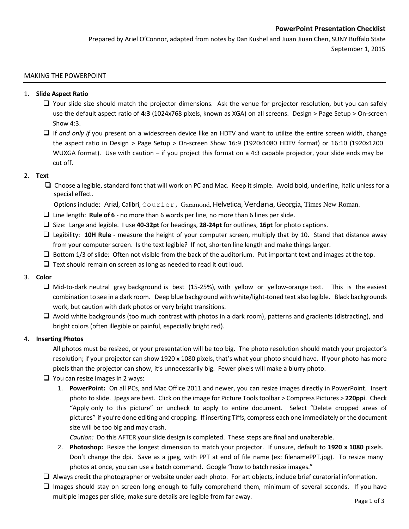# **PowerPoint Presentation Checklist**

Prepared by Ariel O'Connor, adapted from notes by Dan Kushel and Jiuan Jiuan Chen, SUNY Buffalo State September 1, 2015

#### MAKING THE POWERPOINT

#### 1. **Slide Aspect Ratio**

- $\Box$  Your slide size should match the projector dimensions. Ask the venue for projector resolution, but you can safely use the default aspect ratio of **4:3** (1024x768 pixels, known as XGA) on all screens. Design > Page Setup > On-screen Show 4:3.
- If *and only if* you present on a widescreen device like an HDTV and want to utilize the entire screen width, change the aspect ratio in Design > Page Setup > On-screen Show 16:9 (1920x1080 HDTV format) or 16:10 (1920x1200 WUXGA format). Use with caution – if you project this format on a 4:3 capable projector, your slide ends may be cut off.

# 2. **Text**

 $\square$  Choose a legible, standard font that will work on PC and Mac. Keep it simple. Avoid bold, underline, italic unless for a special effect.

Options include: Arial, Calibri, Courier, Garamond, Helvetica, Verdana, Georgia, Times New Roman.

- Line length: **Rule of 6**  no more than 6 words per line, no more than 6 lines per slide.
- Size: Large and legible. I use **40-32pt** for headings, **28-24pt** for outlines, **16pt** for photo captions.
- Legibility: **10H Rule** measure the height of your computer screen, multiply that by 10. Stand that distance away from your computer screen. Is the text legible? If not, shorten line length and make things larger.
- $\Box$  Bottom 1/3 of slide: Often not visible from the back of the auditorium. Put important text and images at the top.
- $\Box$  Text should remain on screen as long as needed to read it out loud.

# 3. **Color**

- $\Box$  Mid-to-dark neutral gray background is best (15-25%), with yellow or yellow-orange text. This is the easiest combination to see in a dark room. Deep blue background with white/light-toned text also legible. Black backgrounds work, but caution with dark photos or very bright transitions.
- $\Box$  Avoid white backgrounds (too much contrast with photos in a dark room), patterns and gradients (distracting), and bright colors (often illegible or painful, especially bright red).

#### 4. **Inserting Photos**

All photos must be resized, or your presentation will be too big. The photo resolution should match your projector's resolution; if your projector can show 1920 x 1080 pixels, that's what your photo should have. If your photo has more pixels than the projector can show, it's unnecessarily big. Fewer pixels will make a blurry photo.

# $\Box$  You can resize images in 2 ways:

1. **PowerPoint:** On all PCs, and Mac Office 2011 and newer, you can resize images directly in PowerPoint. Insert photo to slide. Jpegs are best. Click on the image for Picture Tools toolbar > Compress Pictures > **220ppi**. Check "Apply only to this picture" or uncheck to apply to entire document. Select "Delete cropped areas of pictures" if you're done editing and cropping. If inserting Tiffs, compress each one immediately or the document size will be too big and may crash.

*Caution:* Do this AFTER your slide design is completed. These steps are final and unalterable.

- 2. **Photoshop:** Resize the longest dimension to match your projector. If unsure, default to **1920 x 1080** pixels. Don't change the dpi. Save as a jpeg, with PPT at end of file name (ex: filenamePPT.jpg). To resize many photos at once, you can use a batch command. Google "how to batch resize images."
- $\Box$  Always credit the photographer or website under each photo. For art objects, include brief curatorial information.
- $\Box$  Images should stay on screen long enough to fully comprehend them, minimum of several seconds. If you have multiple images per slide, make sure details are legible from far away.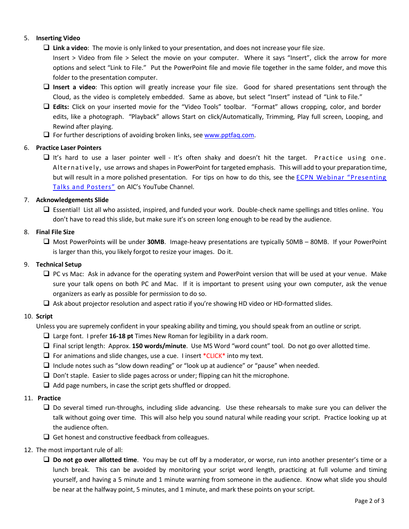# 5. **Inserting Video**

**Link a video**: The movie is only linked to your presentation, and does not increase your file size.

Insert > Video from file > Select the movie on your computer. Where it says "Insert", click the arrow for more options and select "Link to File." Put the PowerPoint file and movie file together in the same folder, and move this folder to the presentation computer.

- **Insert a video**: This option will greatly increase your file size. Good for shared presentations sent through the Cloud, as the video is completely embedded. Same as above, but select "Insert" instead of "Link to File."
- **Edits:** Click on your inserted movie for the "Video Tools" toolbar. "Format" allows cropping, color, and border edits, like a photograph. "Playback" allows Start on click/Automatically, Trimming, Play full screen, Looping, and Rewind after playing.
- $\Box$  For further descriptions of avoiding broken links, see [www.pptfaq.com.](http://www.pptfaq.com/FAQ00155_Sounds-Movies_don-t_play-_images_disappear_or_links_break_when_I_move_or_email_a_presentation.htm)

# 6. **Practice Laser Pointers**

It's hard to use a laser pointer well - It's often shaky and doesn't hit the target. Practice using one. Alternatively, use arrows and shapes in PowerPoint for targeted emphasis. This will add to your preparation time, but will result in a more polished presentation. For tips on how to do this, see the [ECPN Webinar "Presenting](https://youtu.be/NF7lVtgToSg?t=33m2s)  [Talks and Posters"](https://youtu.be/NF7lVtgToSg?t=33m2s) on AIC's YouTube Channel.

# 7. **Acknowledgements Slide**

 Essential! List all who assisted, inspired, and funded your work. Double-check name spellings and titles online. You don't have to read this slide, but make sure it's on screen long enough to be read by the audience.

# 8. **Final File Size**

 Most PowerPoints will be under **30MB**. Image-heavy presentations are typically 50MB – 80MB. If your PowerPoint is larger than this, you likely forgot to resize your images. Do it.

# 9. **Technical Setup**

- □ PC vs Mac: Ask in advance for the operating system and PowerPoint version that will be used at your venue. Make sure your talk opens on both PC and Mac. If it is important to present using your own computer, ask the venue organizers as early as possible for permission to do so.
- $\Box$  Ask about projector resolution and aspect ratio if you're showing HD video or HD-formatted slides.

# 10. **Script**

Unless you are supremely confident in your speaking ability and timing, you should speak from an outline or script.

- Large font. I prefer **16-18 pt** Times New Roman for legibility in a dark room.
- Final script length: Approx. **150 words/minute**. Use MS Word "word count" tool. Do not go over allotted time.
- $\Box$  For animations and slide changes, use a cue. I insert \*CLICK\* into my text.
- $\Box$  Include notes such as "slow down reading" or "look up at audience" or "pause" when needed.
- $\Box$  Don't staple. Easier to slide pages across or under; flipping can hit the microphone.
- $\Box$  Add page numbers, in case the script gets shuffled or dropped.

# 11. **Practice**

- $\Box$  Do several timed run-throughs, including slide advancing. Use these rehearsals to make sure you can deliver the talk without going over time. This will also help you sound natural while reading your script. Practice looking up at the audience often.
- $\Box$  Get honest and constructive feedback from colleagues.

# 12. The most important rule of all:

 **Do not go over allotted time**. You may be cut off by a moderator, or worse, run into another presenter's time or a lunch break. This can be avoided by monitoring your script word length, practicing at full volume and timing yourself, and having a 5 minute and 1 minute warning from someone in the audience. Know what slide you should be near at the halfway point, 5 minutes, and 1 minute, and mark these points on your script.